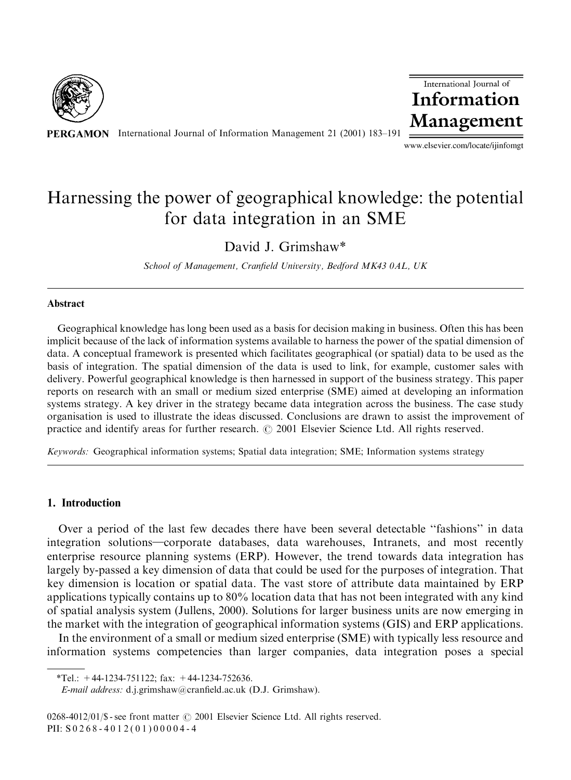

**PERGAMON** International Journal of Information Management 21 (2001) 183–191



www.elsevier.com/locate/ijinfomgt

# Harnessing the power of geographical knowledge: the potential for data integration in an SME

David J. Grimshaw\*

School of Management, Cranfield University, Bedford MK43 0AL, UK

#### Abstract

Geographical knowledge has long been used as a basis for decision making in business. Often this has been implicit because of the lack of information systems available to harness the power of the spatial dimension of data. A conceptual framework is presented which facilitates geographical (or spatial) data to be used as the basis of integration. The spatial dimension of the data is used to link, for example, customer sales with delivery. Powerful geographical knowledge is then harnessed in support of the business strategy. This paper reports on research with an small or medium sized enterprise (SME) aimed at developing an information systems strategy. A key driver in the strategy became data integration across the business. The case study organisation is used to illustrate the ideas discussed. Conclusions are drawn to assist the improvement of practice and identify areas for further research.  $\odot$  2001 Elsevier Science Ltd. All rights reserved.

Keywords: Geographical information systems; Spatial data integration; SME; Information systems strategy

### 1. Introduction

Over a period of the last few decades there have been several detectable ''fashions'' in data integration solutions—corporate databases, data warehouses, Intranets, and most recently enterprise resource planning systems (ERP). However, the trend towards data integration has largely by-passed a key dimension of data that could be used for the purposes of integration. That key dimension is location or spatial data. The vast store of attribute data maintained by ERP applications typically contains up to 80% location data that has not been integrated with any kind of spatial analysis system (Jullens, 2000). Solutions for larger business units are now emerging in the market with the integration of geographical information systems (GIS) and ERP applications.

In the environment of a small or medium sized enterprise (SME) with typically less resource and information systems competencies than larger companies, data integration poses a special

<sup>\*</sup>Tel.:  $+44-1234-751122$ ; fax:  $+44-1234-752636$ .

E-mail address: d.j.grimshaw@cranfield.ac.uk (D.J. Grimshaw).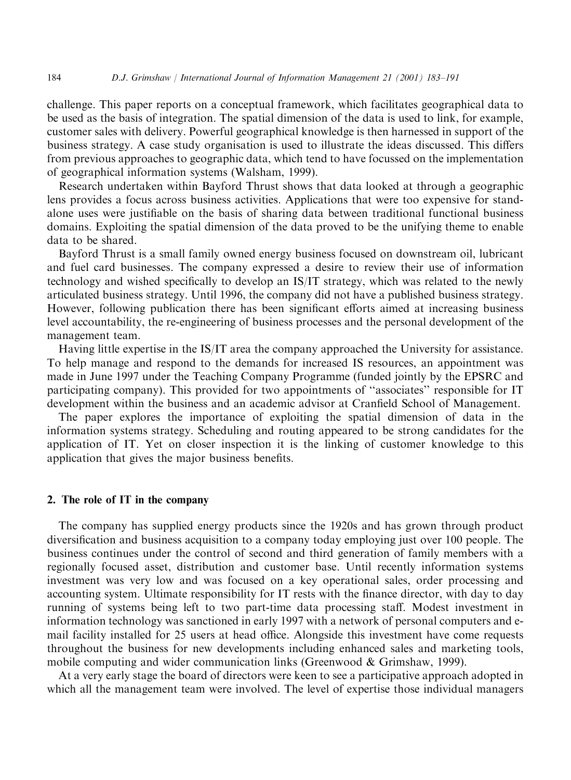challenge. This paper reports on a conceptual framework, which facilitates geographical data to be used as the basis of integration. The spatial dimension of the data is used to link, for example, customer sales with delivery. Powerful geographical knowledge is then harnessed in support of the business strategy. A case study organisation is used to illustrate the ideas discussed. This differs from previous approaches to geographic data, which tend to have focussed on the implementation of geographical information systems (Walsham, 1999).

Research undertaken within Bayford Thrust shows that data looked at through a geographic lens provides a focus across business activities. Applications that were too expensive for standalone uses were justifiable on the basis of sharing data between traditional functional business domains. Exploiting the spatial dimension of the data proved to be the unifying theme to enable data to be shared.

Bayford Thrust is a small family owned energy business focused on downstream oil, lubricant and fuel card businesses. The company expressed a desire to review their use of information technology and wished specifically to develop an IS/IT strategy, which was related to the newly articulated business strategy. Until 1996, the company did not have a published business strategy. However, following publication there has been significant efforts aimed at increasing business level accountability, the re-engineering of business processes and the personal development of the management team.

Having little expertise in the IS/IT area the company approached the University for assistance. To help manage and respond to the demands for increased IS resources, an appointment was made in June 1997 under the Teaching Company Programme (funded jointly by the EPSRC and participating company). This provided for two appointments of ''associates'' responsible for IT development within the business and an academic advisor at Cranfield School of Management.

The paper explores the importance of exploiting the spatial dimension of data in the information systems strategy. Scheduling and routing appeared to be strong candidates for the application of IT. Yet on closer inspection it is the linking of customer knowledge to this application that gives the major business benefits.

### 2. The role of IT in the company

The company has supplied energy products since the 1920s and has grown through product diversification and business acquisition to a company today employing just over 100 people. The business continues under the control of second and third generation of family members with a regionally focused asset, distribution and customer base. Until recently information systems investment was very low and was focused on a key operational sales, order processing and accounting system. Ultimate responsibility for IT rests with the finance director, with day to day running of systems being left to two part-time data processing staff. Modest investment in information technology was sanctioned in early 1997 with a network of personal computers and email facility installed for 25 users at head office. Alongside this investment have come requests throughout the business for new developments including enhanced sales and marketing tools, mobile computing and wider communication links (Greenwood  $\&$  Grimshaw, 1999).

At a very early stage the board of directors were keen to see a participative approach adopted in which all the management team were involved. The level of expertise those individual managers